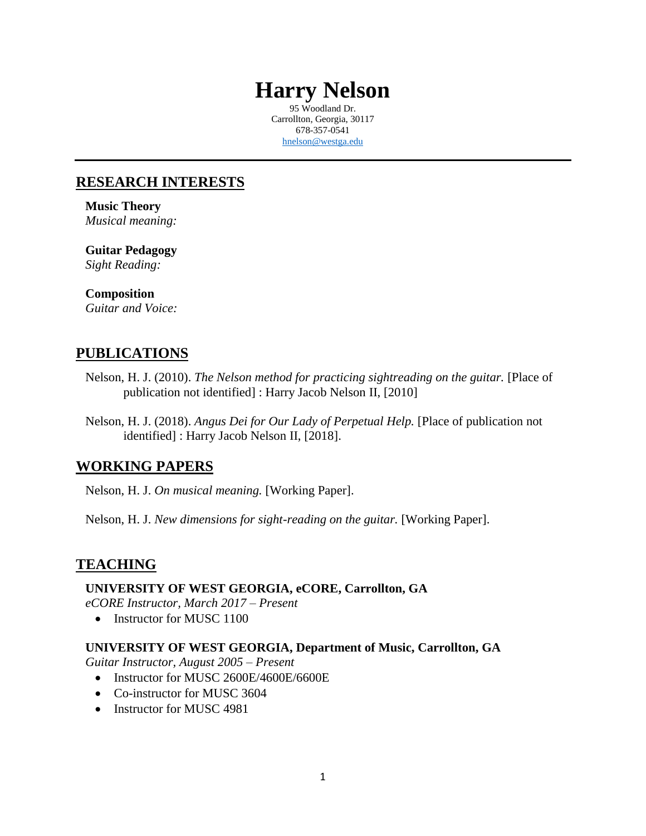# **Harry Nelson**

95 Woodland Dr. Carrollton, Georgia, 30117 678-357-0541 [hnelson@westga.edu](mailto:hnelson@westga.edu)

# **RESEARCH INTERESTS**

**Music Theory** *Musical meaning:*

**Guitar Pedagogy** *Sight Reading:*

#### **Composition** *Guitar and Voice:*

# **PUBLICATIONS**

- Nelson, H. J. (2010). *The Nelson method for practicing sightreading on the guitar.* [Place of publication not identified] : Harry Jacob Nelson II, [2010]
- Nelson, H. J. (2018). *Angus Dei for Our Lady of Perpetual Help.* [Place of publication not identified] : Harry Jacob Nelson II, [2018].

# **WORKING PAPERS**

Nelson, H. J. *On musical meaning.* [Working Paper].

Nelson, H. J. *New dimensions for sight-reading on the guitar.* [Working Paper].

# **TEACHING**

#### **UNIVERSITY OF WEST GEORGIA, eCORE, Carrollton, GA**

*eCORE Instructor, March 2017 – Present*

• Instructor for MUSC 1100

### **UNIVERSITY OF WEST GEORGIA, Department of Music, Carrollton, GA**

*Guitar Instructor, August 2005 – Present*

- Instructor for MUSC 2600E/4600E/6600E
- Co-instructor for MUSC 3604
- Instructor for MUSC 4981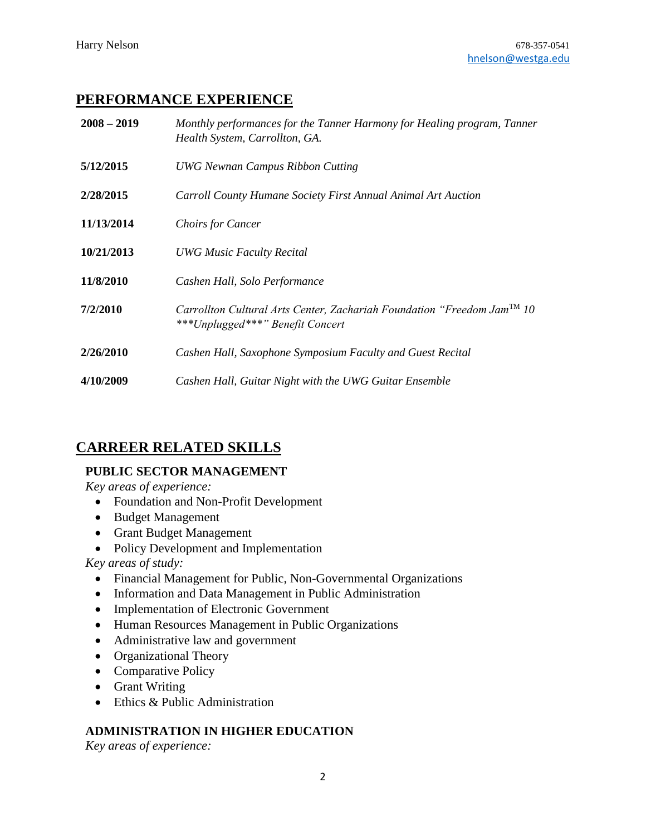# **PERFORMANCE EXPERIENCE**

| $2008 - 2019$ | Monthly performances for the Tanner Harmony for Healing program, Tanner<br>Health System, Carrollton, GA.               |
|---------------|-------------------------------------------------------------------------------------------------------------------------|
| 5/12/2015     | <b>UWG Newnan Campus Ribbon Cutting</b>                                                                                 |
| 2/28/2015     | Carroll County Humane Society First Annual Animal Art Auction                                                           |
| 11/13/2014    | <b>Choirs for Cancer</b>                                                                                                |
| 10/21/2013    | <b>UWG Music Faculty Recital</b>                                                                                        |
| 11/8/2010     | Cashen Hall, Solo Performance                                                                                           |
| 7/2/2010      | Carrollton Cultural Arts Center, Zachariah Foundation "Freedom Jam <sup>TM</sup> 10<br>***Unplugged***" Benefit Concert |
| 2/26/2010     | Cashen Hall, Saxophone Symposium Faculty and Guest Recital                                                              |
| 4/10/2009     | Cashen Hall, Guitar Night with the UWG Guitar Ensemble                                                                  |

# **CARREER RELATED SKILLS**

#### **PUBLIC SECTOR MANAGEMENT**

*Key areas of experience:*

- Foundation and Non-Profit Development
- Budget Management
- Grant Budget Management
- Policy Development and Implementation

*Key areas of study:*

- Financial Management for Public, Non-Governmental Organizations
- Information and Data Management in Public Administration
- Implementation of Electronic Government
- Human Resources Management in Public Organizations
- Administrative law and government
- Organizational Theory
- Comparative Policy
- Grant Writing
- Ethics & Public Administration

### **ADMINISTRATION IN HIGHER EDUCATION**

*Key areas of experience:*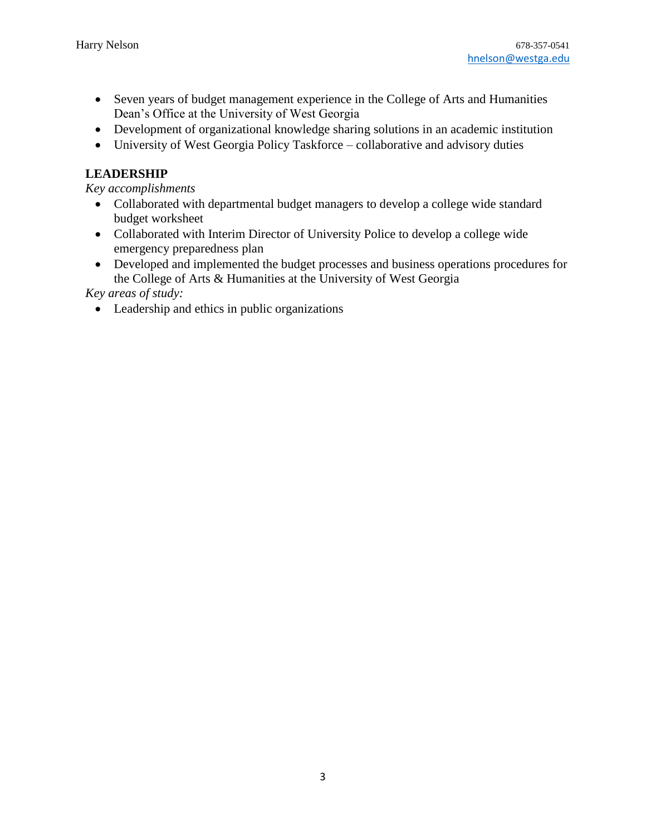- Seven years of budget management experience in the College of Arts and Humanities Dean's Office at the University of West Georgia
- Development of organizational knowledge sharing solutions in an academic institution
- University of West Georgia Policy Taskforce collaborative and advisory duties

#### **LEADERSHIP**

*Key accomplishments*

- Collaborated with departmental budget managers to develop a college wide standard budget worksheet
- Collaborated with Interim Director of University Police to develop a college wide emergency preparedness plan
- Developed and implemented the budget processes and business operations procedures for the College of Arts & Humanities at the University of West Georgia

*Key areas of study:*

• Leadership and ethics in public organizations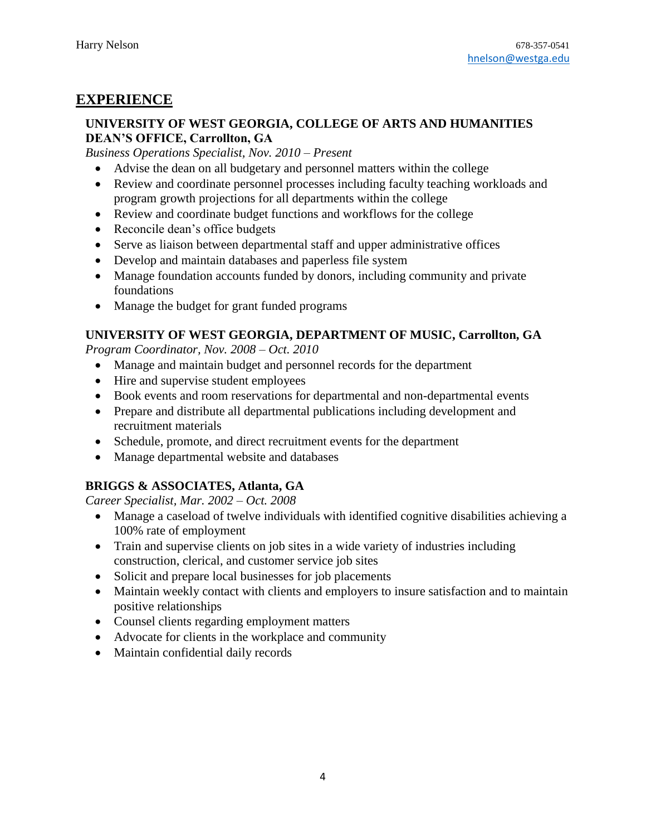# **EXPERIENCE**

#### **UNIVERSITY OF WEST GEORGIA, COLLEGE OF ARTS AND HUMANITIES DEAN'S OFFICE, Carrollton, GA**

*Business Operations Specialist, Nov. 2010 – Present*

- Advise the dean on all budgetary and personnel matters within the college
- Review and coordinate personnel processes including faculty teaching workloads and program growth projections for all departments within the college
- Review and coordinate budget functions and workflows for the college
- Reconcile dean's office budgets
- Serve as liaison between departmental staff and upper administrative offices
- Develop and maintain databases and paperless file system
- Manage foundation accounts funded by donors, including community and private foundations
- Manage the budget for grant funded programs

### **UNIVERSITY OF WEST GEORGIA, DEPARTMENT OF MUSIC, Carrollton, GA**

*Program Coordinator, Nov. 2008 – Oct. 2010*

- Manage and maintain budget and personnel records for the department
- Hire and supervise student employees
- Book events and room reservations for departmental and non-departmental events
- Prepare and distribute all departmental publications including development and recruitment materials
- Schedule, promote, and direct recruitment events for the department
- Manage departmental website and databases

# **BRIGGS & ASSOCIATES, Atlanta, GA**

*Career Specialist, Mar. 2002 – Oct. 2008*

- Manage a caseload of twelve individuals with identified cognitive disabilities achieving a 100% rate of employment
- Train and supervise clients on job sites in a wide variety of industries including construction, clerical, and customer service job sites
- Solicit and prepare local businesses for job placements
- Maintain weekly contact with clients and employers to insure satisfaction and to maintain positive relationships
- Counsel clients regarding employment matters
- Advocate for clients in the workplace and community
- Maintain confidential daily records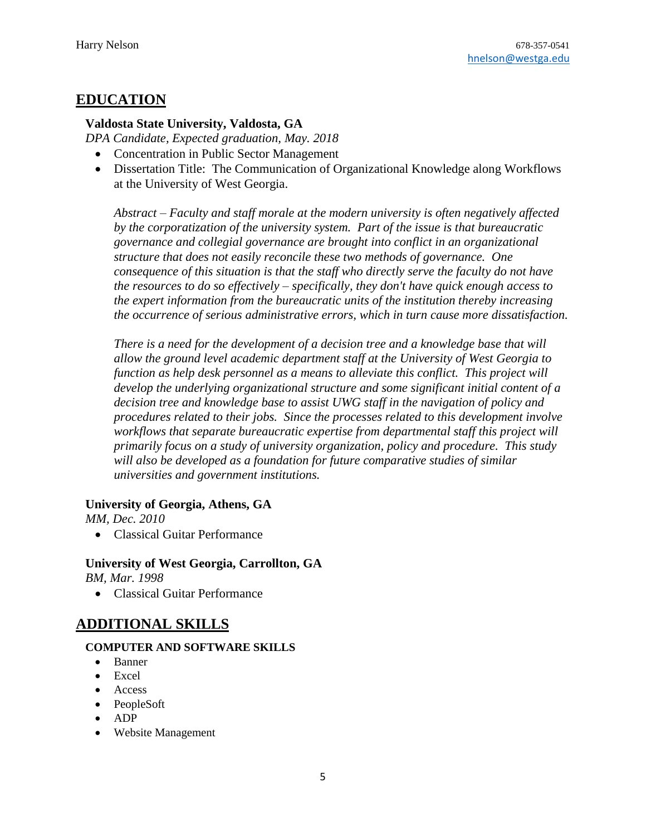### **EDUCATION**

#### **Valdosta State University, Valdosta, GA**

*DPA Candidate, Expected graduation, May. 2018*

- Concentration in Public Sector Management
- Dissertation Title: The Communication of Organizational Knowledge along Workflows at the University of West Georgia.

*Abstract – Faculty and staff morale at the modern university is often negatively affected by the corporatization of the university system. Part of the issue is that bureaucratic governance and collegial governance are brought into conflict in an organizational structure that does not easily reconcile these two methods of governance. One consequence of this situation is that the staff who directly serve the faculty do not have the resources to do so effectively – specifically, they don't have quick enough access to the expert information from the bureaucratic units of the institution thereby increasing the occurrence of serious administrative errors, which in turn cause more dissatisfaction.*

*There is a need for the development of a decision tree and a knowledge base that will allow the ground level academic department staff at the University of West Georgia to function as help desk personnel as a means to alleviate this conflict. This project will develop the underlying organizational structure and some significant initial content of a decision tree and knowledge base to assist UWG staff in the navigation of policy and procedures related to their jobs. Since the processes related to this development involve workflows that separate bureaucratic expertise from departmental staff this project will primarily focus on a study of university organization, policy and procedure. This study will also be developed as a foundation for future comparative studies of similar universities and government institutions.*

#### **University of Georgia, Athens, GA**

*MM, Dec. 2010*

• Classical Guitar Performance

**University of West Georgia, Carrollton, GA** *BM, Mar. 1998*

• Classical Guitar Performance

# **ADDITIONAL SKILLS**

#### **COMPUTER AND SOFTWARE SKILLS**

- Banner
- Excel
- Access
- PeopleSoft
- ADP
- Website Management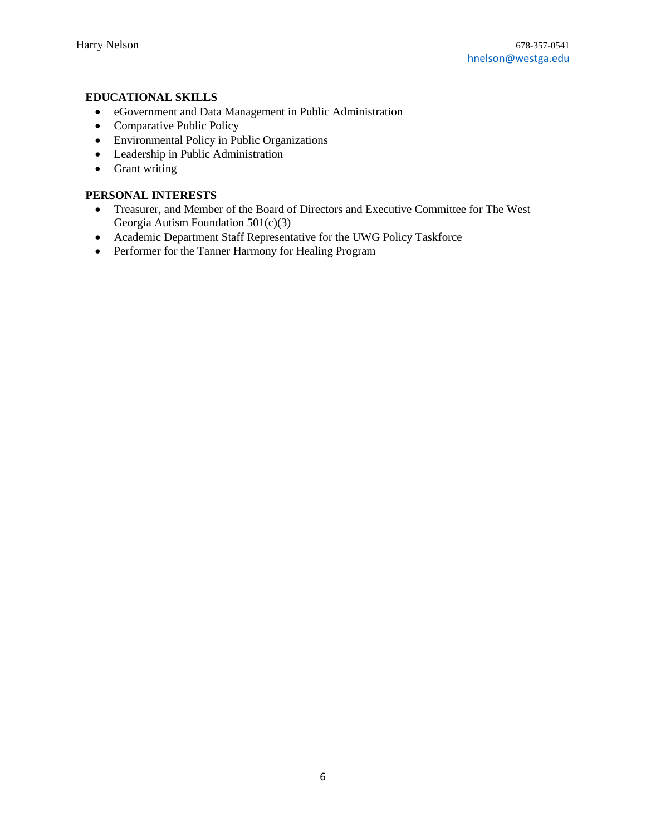#### **EDUCATIONAL SKILLS**

- eGovernment and Data Management in Public Administration
- Comparative Public Policy
- Environmental Policy in Public Organizations
- Leadership in Public Administration
- Grant writing

#### **PERSONAL INTERESTS**

- Treasurer, and Member of the Board of Directors and Executive Committee for The West Georgia Autism Foundation 501(c)(3)
- Academic Department Staff Representative for the UWG Policy Taskforce
- Performer for the Tanner Harmony for Healing Program